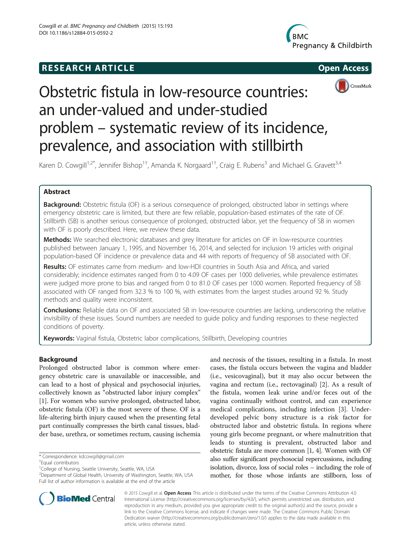# **RESEARCH ARTICLE Example 2014 CONSIDERING CONSIDERING CONSIDERING CONSIDERING CONSIDERING CONSIDERING CONSIDERING CONSIDERING CONSIDERING CONSIDERING CONSIDERING CONSIDERING CONSIDERING CONSIDERING CONSIDERING CONSIDE**







# Obstetric fistula in low-resource countries: an under-valued and under-studied problem – systematic review of its incidence, prevalence, and association with stillbirth

Karen D. Cowgill<sup>1,2\*</sup>, Jennifer Bishop<sup>1+</sup>, Amanda K. Norgaard<sup>1+</sup>, Craig E. Rubens<sup>3</sup> and Michael G. Gravett<sup>3,4</sup>

## Abstract

**Background:** Obstetric fistula (OF) is a serious consequence of prolonged, obstructed labor in settings where emergency obstetric care is limited, but there are few reliable, population-based estimates of the rate of OF. Stillbirth (SB) is another serious consequence of prolonged, obstructed labor, yet the frequency of SB in women with OF is poorly described. Here, we review these data.

Methods: We searched electronic databases and grey literature for articles on OF in low-resource countries published between January 1, 1995, and November 16, 2014, and selected for inclusion 19 articles with original population-based OF incidence or prevalence data and 44 with reports of frequency of SB associated with OF.

Results: OF estimates came from medium- and low-HDI countries in South Asia and Africa, and varied considerably; incidence estimates ranged from 0 to 4.09 OF cases per 1000 deliveries, while prevalence estimates were judged more prone to bias and ranged from 0 to 81.0 OF cases per 1000 women. Reported frequency of SB associated with OF ranged from 32.3 % to 100 %, with estimates from the largest studies around 92 %. Study methods and quality were inconsistent.

Conclusions: Reliable data on OF and associated SB in low-resource countries are lacking, underscoring the relative invisibility of these issues. Sound numbers are needed to guide policy and funding responses to these neglected conditions of poverty.

Keywords: Vaginal fistula, Obstetric labor complications, Stillbirth, Developing countries

### Background

Prolonged obstructed labor is common where emergency obstetric care is unavailable or inaccessible, and can lead to a host of physical and psychosocial injuries, collectively known as "obstructed labor injury complex" [[1\]](#page-5-0). For women who survive prolonged, obstructed labor, obstetric fistula (OF) is the most severe of these. OF is a life-altering birth injury caused when the presenting fetal part continually compresses the birth canal tissues, bladder base, urethra, or sometimes rectum, causing ischemia

2 Department of Global Health, University of Washington, Seattle, WA, USA Full list of author information is available at the end of the article

and necrosis of the tissues, resulting in a fistula. In most cases, the fistula occurs between the vagina and bladder (i.e., vesicovaginal), but it may also occur between the vagina and rectum (i.e., rectovaginal) [[2\]](#page-5-0). As a result of the fistula, women leak urine and/or feces out of the vagina continually without control, and can experience medical complications, including infection [[3\]](#page-5-0). Underdeveloped pelvic bony structure is a risk factor for obstructed labor and obstetric fistula. In regions where young girls become pregnant, or where malnutrition that leads to stunting is prevalent, obstructed labor and obstetric fistula are more common [\[1, 4\]](#page-5-0). Women with OF also suffer significant psychosocial repercussions, including isolation, divorce, loss of social roles – including the role of mother, for those whose infants are stillborn, loss of



© 2015 Cowgill et al. Open Access This article is distributed under the terms of the Creative Commons Attribution 4.0 International License [\(http://creativecommons.org/licenses/by/4.0/\)](http://creativecommons.org/licenses/by/4.0/), which permits unrestricted use, distribution, and reproduction in any medium, provided you give appropriate credit to the original author(s) and the source, provide a link to the Creative Commons license, and indicate if changes were made. The Creative Commons Public Domain Dedication waiver ([http://creativecommons.org/publicdomain/zero/1.0/\)](http://creativecommons.org/publicdomain/zero/1.0/) applies to the data made available in this article, unless otherwise stated.

<sup>\*</sup> Correspondence: [kdcowgill@gmail.com](mailto:kdcowgill@gmail.com) †

Equal contributors

<sup>&</sup>lt;sup>1</sup>College of Nursing, Seattle University, Seattle, WA, USA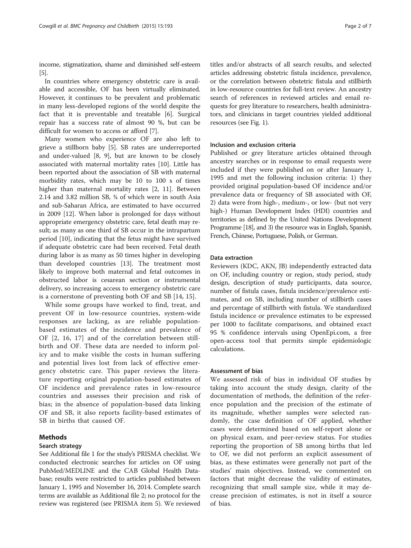income, stigmatization, shame and diminished self-esteem [[5](#page-5-0)].

In countries where emergency obstetric care is available and accessible, OF has been virtually eliminated. However, it continues to be prevalent and problematic in many less-developed regions of the world despite the fact that it is preventable and treatable [[6\]](#page-5-0). Surgical repair has a success rate of almost 90 %, but can be difficult for women to access or afford [[7\]](#page-5-0).

Many women who experience OF are also left to grieve a stillborn baby [\[5](#page-5-0)]. SB rates are underreported and under-valued [[8, 9\]](#page-5-0), but are known to be closely associated with maternal mortality rates [\[10](#page-5-0)]. Little has been reported about the association of SB with maternal morbidity rates, which may be 10 to 100 s of times higher than maternal mortality rates [\[2](#page-5-0), [11](#page-5-0)]. Between 2.14 and 3.82 million SB, ¾ of which were in south Asia and sub-Saharan Africa, are estimated to have occurred in 2009 [[12\]](#page-5-0). When labor is prolonged for days without appropriate emergency obstetric care, fetal death may result; as many as one third of SB occur in the intrapartum period [[10\]](#page-5-0), indicating that the fetus might have survived if adequate obstetric care had been received. Fetal death during labor is as many as 50 times higher in developing than developed countries [\[13\]](#page-5-0). The treatment most likely to improve both maternal and fetal outcomes in obstructed labor is cesarean section or instrumental delivery, so increasing access to emergency obstetric care is a cornerstone of preventing both OF and SB [\[14](#page-5-0), [15](#page-5-0)].

While some groups have worked to find, treat, and prevent OF in low-resource countries, system-wide responses are lacking, as are reliable populationbased estimates of the incidence and prevalence of OF [\[2](#page-5-0), [16, 17\]](#page-5-0) and of the correlation between stillbirth and OF. These data are needed to inform policy and to make visible the costs in human suffering and potential lives lost from lack of effective emergency obstetric care. This paper reviews the literature reporting original population-based estimates of OF incidence and prevalence rates in low-resource countries and assesses their precision and risk of bias; in the absence of population-based data linking OF and SB, it also reports facility-based estimates of SB in births that caused OF.

#### Methods

#### Search strategy

See Additional file [1](#page-5-0) for the study's PRISMA checklist. We conducted electronic searches for articles on OF using PubMed/MEDLINE and the CAB Global Health Database; results were restricted to articles published between January 1, 1995 and November 16, 2014. Complete search terms are available as Additional file [2](#page-5-0); no protocol for the review was registered (see PRISMA item 5). We reviewed

titles and/or abstracts of all search results, and selected articles addressing obstetric fistula incidence, prevalence, or the correlation between obstetric fistula and stillbirth in low-resource countries for full-text review. An ancestry search of references in reviewed articles and email requests for grey literature to researchers, health administrators, and clinicians in target countries yielded additional resources (see Fig. [1\)](#page-2-0).

#### Inclusion and exclusion criteria

Published or grey literature articles obtained through ancestry searches or in response to email requests were included if they were published on or after January 1, 1995 and met the following inclusion criteria: 1) they provided original population-based OF incidence and/or prevalence data or frequency of SB associated with OF, 2) data were from high-, medium-, or low- (but not very high-) Human Development Index (HDI) countries and territories as defined by the United Nations Development Programme [\[18\]](#page-5-0), and 3) the resource was in English, Spanish, French, Chinese, Portuguese, Polish, or German.

#### Data extraction

Reviewers (KDC, AKN, JB) independently extracted data on OF, including country or region, study period, study design, description of study participants, data source, number of fistula cases, fistula incidence/prevalence estimates, and on SB, including number of stillbirth cases and percentage of stillbirth with fistula. We standardized fistula incidence or prevalence estimates to be expressed per 1000 to facilitate comparisons, and obtained exact 95 % confidence intervals using OpenEpi.com, a free open-access tool that permits simple epidemiologic calculations.

#### Assessment of bias

We assessed risk of bias in individual OF studies by taking into account the study design, clarity of the documentation of methods, the definition of the reference population and the precision of the estimate of its magnitude, whether samples were selected randomly, the case definition of OF applied, whether cases were determined based on self-report alone or on physical exam, and peer-review status. For studies reporting the proportion of SB among births that led to OF, we did not perform an explicit assessment of bias, as these estimates were generally not part of the studies' main objectives. Instead, we commented on factors that might decrease the validity of estimates, recognizing that small sample size, while it may decrease precision of estimates, is not in itself a source of bias.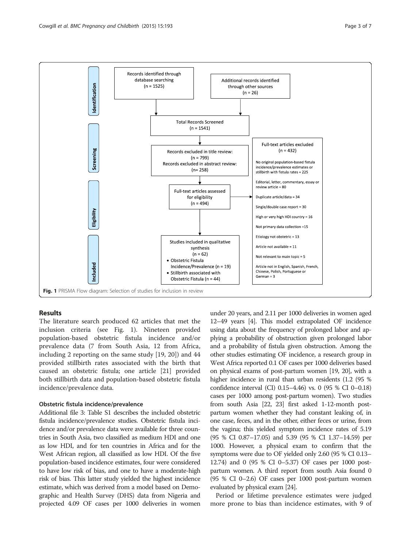<span id="page-2-0"></span>

#### Results

The literature search produced 62 articles that met the inclusion criteria (see Fig. 1). Nineteen provided population-based obstetric fistula incidence and/or prevalence data (7 from South Asia, 12 from Africa, including 2 reporting on the same study [\[19](#page-5-0), [20](#page-5-0)]) and 44 provided stillbirth rates associated with the birth that caused an obstetric fistula; one article [[21](#page-5-0)] provided both stillbirth data and population-based obstetric fistula incidence/prevalence data.

#### Obstetric fistula incidence/prevalence

Additional file [3](#page-5-0): Table S1 describes the included obstetric fistula incidence/prevalence studies. Obstetric fistula incidence and/or prevalence data were available for three countries in South Asia, two classified as medium HDI and one as low HDI, and for ten countries in Africa and for the West African region, all classified as low HDI. Of the five population-based incidence estimates, four were considered to have low risk of bias, and one to have a moderate-high risk of bias. This latter study yielded the highest incidence estimate, which was derived from a model based on Demographic and Health Survey (DHS) data from Nigeria and projected 4.09 OF cases per 1000 deliveries in women under 20 years, and 2.11 per 1000 deliveries in women aged 12–49 years [[4](#page-5-0)]. This model extrapolated OF incidence using data about the frequency of prolonged labor and applying a probability of obstruction given prolonged labor and a probability of fistula given obstruction. Among the other studies estimating OF incidence, a research group in West Africa reported 0.1 OF cases per 1000 deliveries based on physical exams of post-partum women [\[19, 20\]](#page-5-0), with a higher incidence in rural than urban residents (1.2 (95 % confidence interval (CI) 0.15–4.46) vs. 0 (95 % CI 0–0.18) cases per 1000 among post-partum women). Two studies from south Asia [[22, 23](#page-5-0)] first asked 1-12-month postpartum women whether they had constant leaking of, in one case, feces, and in the other, either feces or urine, from the vagina; this yielded symptom incidence rates of 5.19 (95 % CI 0.87–17.05) and 5.39 (95 % CI 1.37–14.59) per 1000. However, a physical exam to confirm that the symptoms were due to OF yielded only 2.60 (95 % CI 0.13– 12.74) and 0 (95 % CI 0–5.37) OF cases per 1000 postpartum women. A third report from south Asia found 0 (95 % CI 0–2.6) OF cases per 1000 post-partum women evaluated by physical exam [\[24\]](#page-5-0).

Period or lifetime prevalence estimates were judged more prone to bias than incidence estimates, with 9 of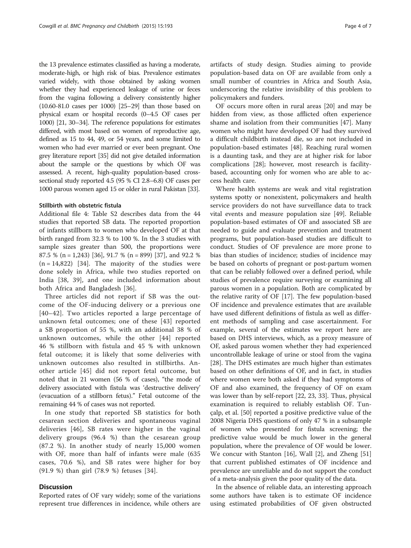the 13 prevalence estimates classified as having a moderate, moderate-high, or high risk of bias. Prevalence estimates varied widely, with those obtained by asking women whether they had experienced leakage of urine or feces from the vagina following a delivery consistently higher (10.60-81.0 cases per 1000) [[25](#page-5-0)–[29](#page-5-0)] than those based on physical exam or hospital records (0–4.5 OF cases per 1000) [\[21](#page-5-0), [30](#page-5-0)–[34](#page-5-0)]. The reference populations for estimates differed, with most based on women of reproductive age, defined as 15 to 44, 49, or 54 years, and some limited to women who had ever married or ever been pregnant. One grey literature report [\[35](#page-5-0)] did not give detailed information about the sample or the questions by which OF was assessed. A recent, high-quality population-based crosssectional study reported 4.5 (95 % CI 2.8–6.8) OF cases per 1000 parous women aged 15 or older in rural Pakistan [\[33\]](#page-5-0).

#### Stillbirth with obstetric fistula

Additional file [4:](#page-5-0) Table S2 describes data from the 44 studies that reported SB data. The reported proportion of infants stillborn to women who developed OF at that birth ranged from 32.3 % to 100 %. In the 3 studies with sample sizes greater than 500, the proportions were 87.5 % (n = 1,243) [\[36](#page-5-0)], 91.7 % (n = 899) [\[37\]](#page-6-0), and 92.2 %  $(n = 14,822)$  [\[34](#page-5-0)]. The majority of the studies were done solely in Africa, while two studies reported on India [\[38](#page-6-0), [39\]](#page-6-0), and one included information about both Africa and Bangladesh [\[36](#page-5-0)].

Three articles did not report if SB was the outcome of the OF-inducing delivery or a previous one [[40](#page-6-0)–[42\]](#page-6-0). Two articles reported a large percentage of unknown fetal outcomes; one of these [[43](#page-6-0)] reported a SB proportion of 55 %, with an additional 38 % of unknown outcomes, while the other [\[44\]](#page-6-0) reported 46 % stillborn with fistula and 45 % with unknown fetal outcome; it is likely that some deliveries with unknown outcomes also resulted in stillbirths. Another article [[45\]](#page-6-0) did not report fetal outcome, but noted that in 21 women (56 % of cases), "the mode of delivery associated with fistula was 'destructive delivery' (evacuation of a stillborn fetus)." Fetal outcome of the remaining 44 % of cases was not reported.

In one study that reported SB statistics for both cesarean section deliveries and spontaneous vaginal deliveries [[46\]](#page-6-0), SB rates were higher in the vaginal delivery groups (96.4 %) than the cesarean group (87.2 %). In another study of nearly 15,000 women with OF, more than half of infants were male (635 cases, 70.6 %), and SB rates were higher for boy (91.9 %) than girl (78.9 %) fetuses [[34\]](#page-5-0).

#### **Discussion**

Reported rates of OF vary widely; some of the variations represent true differences in incidence, while others are

artifacts of study design. Studies aiming to provide population-based data on OF are available from only a small number of countries in Africa and South Asia, underscoring the relative invisibility of this problem to policymakers and funders.

OF occurs more often in rural areas [[20\]](#page-5-0) and may be hidden from view, as those afflicted often experience shame and isolation from their communities [[47](#page-6-0)]. Many women who might have developed OF had they survived a difficult childbirth instead die, so are not included in population-based estimates [\[48](#page-6-0)]. Reaching rural women is a daunting task, and they are at higher risk for labor complications [\[28\]](#page-5-0); however, most research is facilitybased, accounting only for women who are able to access health care.

Where health systems are weak and vital registration systems spotty or nonexistent, policymakers and health service providers do not have surveillance data to track vital events and measure population size [[49\]](#page-6-0). Reliable population-based estimates of OF and associated SB are needed to guide and evaluate prevention and treatment programs, but population-based studies are difficult to conduct. Studies of OF prevalence are more prone to bias than studies of incidence; studies of incidence may be based on cohorts of pregnant or post-partum women that can be reliably followed over a defined period, while studies of prevalence require surveying or examining all parous women in a population. Both are complicated by the relative rarity of OF [\[17](#page-5-0)]. The few population-based OF incidence and prevalence estimates that are available have used different definitions of fistula as well as different methods of sampling and case ascertainment. For example, several of the estimates we report here are based on DHS interviews, which, as a proxy measure of OF, asked parous women whether they had experienced uncontrollable leakage of urine or stool from the vagina [[28\]](#page-5-0). The DHS estimates are much higher than estimates based on other definitions of OF, and in fact, in studies where women were both asked if they had symptoms of OF and also examined, the frequency of OF on exam was lower than by self-report [\[22](#page-5-0), [23](#page-5-0), [33](#page-5-0)]. Thus, physical examination is required to reliably establish OF. Tunçalp, et al. [\[50\]](#page-6-0) reported a positive predictive value of the 2008 Nigeria DHS questions of only 47 % in a subsample of women who presented for fistula screening; the predictive value would be much lower in the general population, where the prevalence of OF would be lower. We concur with Stanton [[16\]](#page-5-0), Wall [\[2\]](#page-5-0), and Zheng [[51](#page-6-0)] that current published estimates of OF incidence and prevalence are unreliable and do not support the conduct of a meta-analysis given the poor quality of the data.

In the absence of reliable data, an interesting approach some authors have taken is to estimate OF incidence using estimated probabilities of OF given obstructed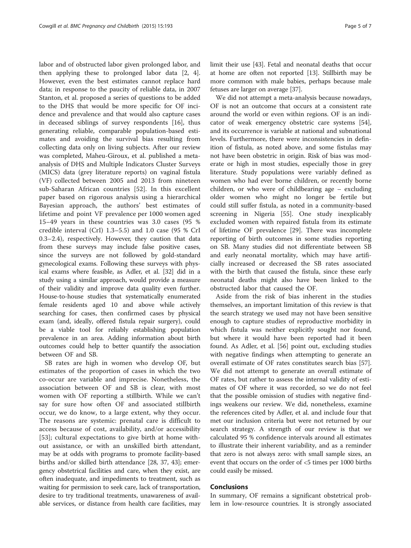labor and of obstructed labor given prolonged labor, and then applying these to prolonged labor data [[2, 4](#page-5-0)]. However, even the best estimates cannot replace hard data; in response to the paucity of reliable data, in 2007 Stanton, et al. proposed a series of questions to be added to the DHS that would be more specific for OF incidence and prevalence and that would also capture cases in deceased siblings of survey respondents [\[16](#page-5-0)], thus generating reliable, comparable population-based estimates and avoiding the survival bias resulting from collecting data only on living subjects. After our review was completed, Maheu-Giroux, et al. published a metaanalysis of DHS and Multiple Indicators Cluster Surveys (MICS) data (grey literature reports) on vaginal fistula (VF) collected between 2005 and 2013 from nineteen sub-Saharan African countries [\[52](#page-6-0)]. In this excellent paper based on rigorous analysis using a hierarchical Bayesian approach, the authors' best estimates of lifetime and point VF prevalence per 1000 women aged 15–49 years in these countries was 3.0 cases (95 % credible interval (CrI) 1.3–5.5) and 1.0 case (95 % CrI 0.3–2.4), respectively. However, they caution that data from these surveys may include false positive cases, since the surveys are not followed by gold-standard gynecological exams. Following these surveys with physical exams where feasible, as Adler, et al. [\[32\]](#page-5-0) did in a study using a similar approach, would provide a measure of their validity and improve data quality even further. House-to-house studies that systematically enumerated female residents aged 10 and above while actively searching for cases, then confirmed cases by physical exam (and, ideally, offered fistula repair surgery), could be a viable tool for reliably establishing population prevalence in an area. Adding information about birth outcomes could help to better quantify the association between OF and SB.

SB rates are high in women who develop OF, but estimates of the proportion of cases in which the two co-occur are variable and imprecise. Nonetheless, the association between OF and SB is clear, with most women with OF reporting a stillbirth. While we can't say for sure how often OF and associated stillbirth occur, we do know, to a large extent, why they occur. The reasons are systemic: prenatal care is difficult to access because of cost, availability, and/or accessibility [[53\]](#page-6-0); cultural expectations to give birth at home without assistance, or with an unskilled birth attendant, may be at odds with programs to promote facility-based births and/or skilled birth attendance [\[28,](#page-5-0) [37](#page-6-0), [43\]](#page-6-0); emergency obstetrical facilities and care, when they exist, are often inadequate, and impediments to treatment, such as waiting for permission to seek care, lack of transportation, desire to try traditional treatments, unawareness of available services, or distance from health care facilities, may limit their use [\[43](#page-6-0)]. Fetal and neonatal deaths that occur at home are often not reported [\[13\]](#page-5-0). Stillbirth may be more common with male babies, perhaps because male fetuses are larger on average [\[37\]](#page-6-0).

We did not attempt a meta-analysis because nowadays, OF is not an outcome that occurs at a consistent rate around the world or even within regions. OF is an indicator of weak emergency obstetric care systems [\[54](#page-6-0)], and its occurrence is variable at national and subnational levels. Furthermore, there were inconsistencies in definition of fistula, as noted above, and some fistulas may not have been obstetric in origin. Risk of bias was moderate or high in most studies, especially those in grey literature. Study populations were variably defined as women who had ever borne children, or recently borne children, or who were of childbearing age – excluding older women who might no longer be fertile but could still suffer fistula, as noted in a community-based screening in Nigeria [\[55\]](#page-6-0). One study inexplicably excluded women with repaired fistula from its estimate of lifetime OF prevalence [\[29](#page-5-0)]. There was incomplete reporting of birth outcomes in some studies reporting on SB. Many studies did not differentiate between SB and early neonatal mortality, which may have artificially increased or decreased the SB rates associated with the birth that caused the fistula, since these early neonatal deaths might also have been linked to the obstructed labor that caused the OF.

Aside from the risk of bias inherent in the studies themselves, an important limitation of this review is that the search strategy we used may not have been sensitive enough to capture studies of reproductive morbidity in which fistula was neither explicitly sought nor found, but where it would have been reported had it been found. As Adler, et al. [\[56\]](#page-6-0) point out, excluding studies with negative findings when attempting to generate an overall estimate of OF rates constitutes search bias [\[57](#page-6-0)]. We did not attempt to generate an overall estimate of OF rates, but rather to assess the internal validity of estimates of OF where it was recorded, so we do not feel that the possible omission of studies with negative findings weakens our review. We did, nonetheless, examine the references cited by Adler, et al. and include four that met our inclusion criteria but were not returned by our search strategy. A strength of our review is that we calculated 95 % confidence intervals around all estimates to illustrate their inherent variability, and as a reminder that zero is not always zero: with small sample sizes, an event that occurs on the order of <5 times per 1000 births could easily be missed.

#### Conclusions

In summary, OF remains a significant obstetrical problem in low-resource countries. It is strongly associated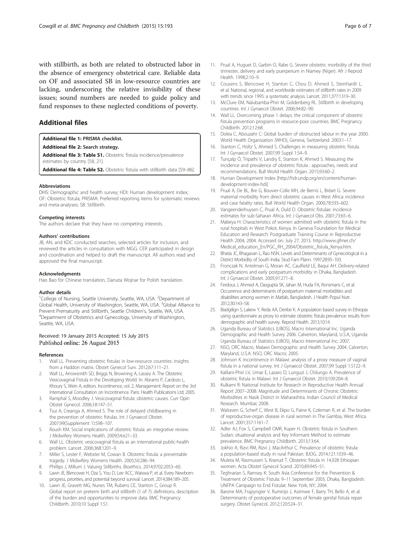<span id="page-5-0"></span>with stillbirth, as both are related to obstructed labor in the absence of emergency obstetrical care. Reliable data on OF and associated SB in low-resource countries are lacking, underscoring the relative invisibility of these issues; sound numbers are needed to guide policy and fund responses to these neglected conditions of poverty.

#### Additional files

#### [Additional file 1:](http://www.biomedcentral.com/content/supplementary/s12884-015-0592-2-s1.doc) PRISMA checklist.

#### [Additional file 2:](http://www.biomedcentral.com/content/supplementary/s12884-015-0592-2-s2.docx) Search strategy.

[Additional file 3: Table S1.](http://www.biomedcentral.com/content/supplementary/s12884-015-0592-2-s3.docx) Obstetric fistula incidence/prevalence estimates by country [\[58](#page-6-0), 21].

[Additional file 4: Table S2.](http://www.biomedcentral.com/content/supplementary/s12884-015-0592-2-s4.docx) Obstetric fistula with stillbirth data [[59](#page-6-0)-[86\]](#page-6-0).

#### Abbreviations

DHS: Demographic and health survey; HDI: Human development index; OF: Obstetric fistula; PRISMA: Preferred reporting items for systematic reviews and meta-analyses; SB: Stillbirth.

#### Competing interests

The authors declare that they have no competing interests.

#### Authors' contributions

JB, AN, and KDC conducted searches, selected articles for inclusion, and reviewed the articles in consultation with MGG. CER participated in design and coordination and helped to draft the manuscript. All authors read and approved the final manuscript.

#### Acknowledgments

Hao Bao for Chinese translation, Danuta Wojnar for Polish translation.

#### Author details

<sup>1</sup>College of Nursing, Seattle University, Seattle, WA, USA. <sup>2</sup>Department of Global Health, University of Washington, Seattle, WA, USA. <sup>3</sup>Global Alliance to Prevent Prematurity and Stillbirth, Seattle Children's, Seattle, WA, USA. <sup>4</sup> <sup>4</sup>Department of Obstetrics and Gynecology, University of Washington, Seattle, WA, USA.

#### Received: 19 January 2015 Accepted: 15 July 2015 Published online: 26 August 2015

#### References

- 1. Wall LL. Preventing obstetric fistulas in low-resource countries: insights from a Haddon matrix. Obstet Gynecol Surv. 2012;67:111–21.
- 2. Wall LL, Arrowsmith SD, Briggs N, Browning A, Lassey A. The Obstetric Vesicovaginal Fistula in the Developing World. In: Abrams P, Cardozo L, Khoury S, Wein A, editors. Incontinence, vol. 2, Management: Report on the 3rd International Consultation on Incontinence. Paris: Health Publications Ltd; 2005.
- 3. Ramphal S, Moodley J. Vesicovaginal fistula: obstetric causes. Curr Opin Obstet Gynecol. 2006;18:147–51.
- 4. Tsui A, Creanga A, Ahmed S. The role of delayed childbearing in the prevention of obstetric fistulas. Int J Gynaecol Obstet. 2007;99(Supplement 1):S98–107.
- 5. Roush KM. Social implications of obstetric fistula: an integrative review. J Midwifery Womens Health. 2009;54:e21–33.
- 6. Wall LL. Obstetric vesicovaginal fistula as an international public-health problem. Lancet. 2006;368:1201–9.
- 7. Miller S, Lester F, Webster M, Cowan B. Obstetric fistula: a preventable tragedy. J Midwifery Womens Health. 2005;50:286–94.
- 8. Phillips J, Millum J. Valuing Stillbirths. Bioethics. 2014;9702:2053–60.
- 9. Lawn JE, Blencowe H, Oza S, You D, Lee ACC, Waiswa P, et al. Every Newborn: progress, priorities, and potential beyond survival. Lancet. 2014;384:189–205.
- 10. Lawn JE, Gravett MG, Nunes TM, Rubens CE, Stanton C, Group R. Global report on preterm birth and stillbirth (1 of 7): definitions, description of the burden and opportunities to improve data. BMC Pregnancy Childbirth. 2010;10 Suppl 1:S1.
- 11. Prual A, Huguet D, Garbin O, Rabe G. Severe obstetric morbidity of the third trimester, delivery and early puerperium in Niamey (Niger). Afr J Reprod Health. 1998;2:10–9.
- 12. Cousens S, Blencowe H, Stanton C, Chou D, Ahmed S, Steinhardt L, et al. National, regional, and worldwide estimates of stillbirth rates in 2009 with trends since 1995: a systematic analysis. Lancet. 2011;377:1319–30.
- 13. McClure EM, Nalubamba-Phiri M, Goldenberg RL. Stillbirth in developing countries. Int J Gynaecol Obstet. 2006;94:82–90.
- 14. Wall LL. Overcoming phase 1 delays: the critical component of obstetric fistula prevention programs in resource-poor countries. BMC Pregnancy Childbirth. 2012;12:68.
- 15. Dolea C, Abouzahr C: Global burden of obstructed labour in the year 2000. World Health Organization (WHO), Geneva, Switzerland. 2003:1–17.
- 16. Stanton C, Holtz S, Ahmed S. Challenges in measuring obstetric fistula. Int J Gynaecol Obstet. 2007;99 Suppl 1:S4-9.
- 17. Tunçalp Ö, Tripathi V, Landry E, Stanton K, Ahmed S. Measuring the incidence and prevalence of obstetric fistula : approaches, needs and recommendations. Bull World Health Organ. 2015;93:60–2.
- 18. Human Development Index [\[http://hdr.undp.org/en/content/human](http://hdr.undp.org/en/content/human-development-index-hdi)[development-index-hdi\]](http://hdr.undp.org/en/content/human-development-index-hdi)
- 19. Prual A, De BL, Bre G, Bouvier-Colle MH, de Bernis L, Bréart G. Severe maternal morbidity from direct obstetric causes in West Africa: incidence and case fatality rates. Bull World Health Organ. 2000;78:593–602.
- 20. Vangeenderhuysen C, Prual A, Ould D. Obstetric fistulae: incidence estimates for sub-Saharan Africa. Int J Gynaecol Obs. 2001;73:65–6.
- 21. Mabeya H: Characteristics of women admitted with obstetric fistula in the rural hospitals in West Pokot, Kenya. In Geneva Foundation for Medical Education and Research: Postgraduate Training Course in Reproductive Health 2004; 2004. Accessed on: July 27, 2013. [http://www.gfmer.ch/](http://www.gfmer.ch/Medical_education_En/PGC_RH_2004/Obstetric_fistula_Kenya.htm) [Medical\\_education\\_En/PGC\\_RH\\_2004/Obstetric\\_fistula\\_Kenya.htm](http://www.gfmer.ch/Medical_education_En/PGC_RH_2004/Obstetric_fistula_Kenya.htm).
- 22. Bhatia JC, Bhagavan L, Rao NSN. Levels and Determinants of Gynecological in a District Morbidity of South India. Stud Fam Plann. 1997;28:95–103.
- 23. Fronczak N, Antelman G, Moran AC, Caulfield LE, Baqui AH. Delivery-related complications and early postpartum morbidity in Dhaka, Bangladesh. Int J Gynaecol Obstet. 2005;91:271–8.
- 24. Ferdous J, Ahmed A, Dasgupta SK, Jahan M, Huda FA, Ronsmans C, et al. Occurrence and determinants of postpartum maternal morbidities and disabilities among women in Matlab, Bangladesh. J Health Popul Nutr. 2012;30:143–58.
- 25. Biadgilign S, Lakew Y, Reda AA, Deribe K. A population based survey in Ethiopia using questionnaire as proxy to estimate obstetric fistula prevalence: results from demographic and health survey. Reprod Health. 2013;10:14.
- 26. Uganda Bureau of Statistics (UBOS), Macro International Inc. Uganda Demographic and Health Survey 2006. Calverton, Maryland, U.S.A, Uganda: Uganda Bureau of Statistics (UBOS), Macro International Inc; 2007.
- 27. NSO, ORC Macro. Malawi Demographic and Health Survey 2004. Calverton, Maryland, U.S.A: NSO, ORC Macro; 2005.
- 28. Johnson K. Incontinence in Malawi: analysis of a proxy measure of vaginal fistula in a national survey. Int J Gynaecol Obstet. 2007;99 Suppl 1:S122–9.
- 29. Kalilani-Phiri LV, Umar E, Lazaro D, Lunguzi J, Chilungo A. Prevalence of obstetric fistula in Malawi. Int J Gynaecol Obstet. 2010;109:204–8.
- 30. Kulkarni R: National Institute for Research in Reproductive Health Annual Report 2007–2008: Magnitude and Determinants of Chronic Obstetric Morbidities in Nasik District in Maharashtra. Indian Council of Medical Research. Mumbai; 2008.
- 31. Walraven G, Scherf C, West B, Ekpo G, Paine K, Coleman R, et al. The burden of reproductive-organ disease in rural women in The Gambia, West Africa. Lancet. 2001;357:1161–7.
- 32. Adler AJ, Fox S, Campbell OMR, Kuper H. Obstetric fistula in Southern Sudan: situational analysis and Key Informant Method to estimate prevalence. BMC Pregnancy Childbirth. 2013;13:64.
- 33. Jokhio A, Rizvi RM, Rizvi J, MacArthur C. Prevalence of obstetric fistula: a population-based study in rural Pakistan. BJOG. 2014;121:1039–46.
- 34. Muleta M, Rasmussen S, Kiserud T. Obstetric fistula in 14,928 Ethiopian women. Acta Obstet Gynecol Scand. 2010;89:945–51.
- 35. Teghrarian S, Ramsey K: South Asia Conference for the Prevention & Treatment of Obstetric Fistula: 9–11 September 2003, Dhaka, Bangladesh. UNFPA Campaign to End Fistulat. New York, NY; 2004.
- 36. Barone MA, Frajzyngier V, Ruminjo J, Asiimwe F, Barry TH, Bello A, et al. Determinants of postoperative outcomes of female genital fistula repair surgery. Obstet Gynecol. 2012;120:524–31.